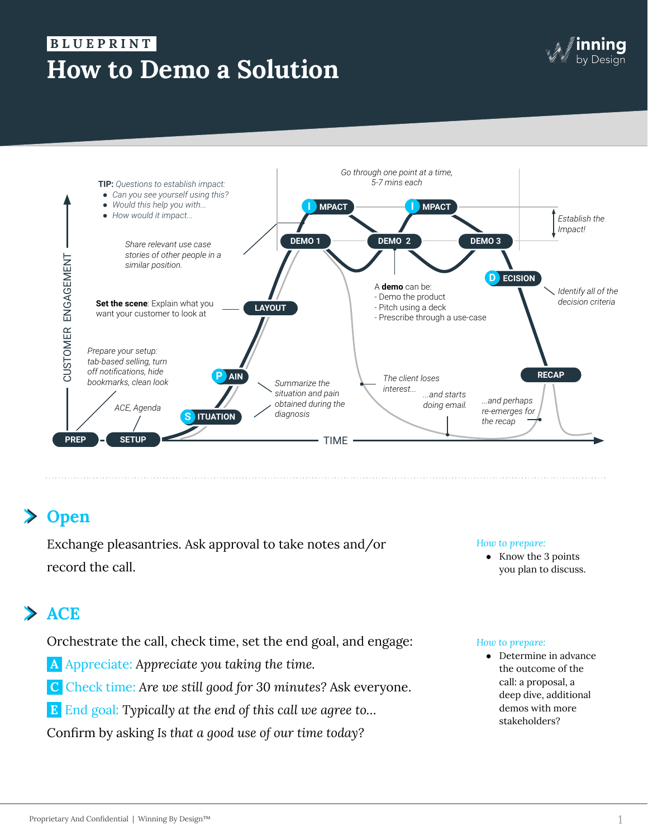# **How to Demo a Solution B L U E P R I N T .**





## **Open**

Exchange pleasantries. Ask approval to take notes and/or record the call.

#### *How to prepare:*

● Know the 3 points you plan to discuss.

# **ACE**

Orchestrate the call, check time, set the end goal, and engage:

- **A** Appreciate: *Appreciate you taking the time.*
- **C** Check time: *Are we still good for 30 minutes?* Ask everyone.
- **E** End goal: *Typically at the end of this call we agree to…*

Confirm by asking *Is that a good use of our time today?*

#### *How to prepare:*

● Determine in advance the outcome of the call: a proposal, a deep dive, additional demos with more stakeholders?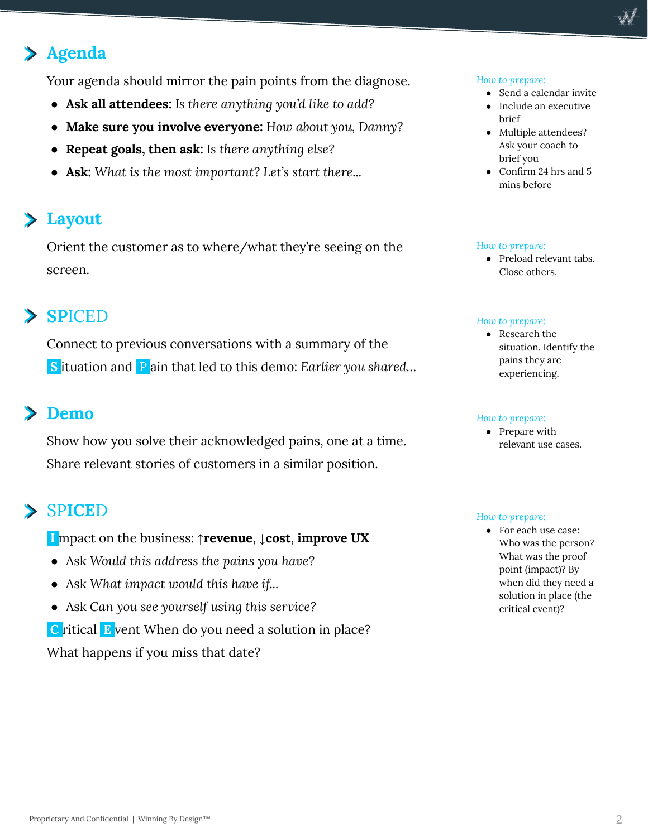# **Agenda**

Your agenda should mirror the pain points from the diagnose.

- **Ask all attendees:** *Is there anything you'd like to add?*
- **Make sure you involve everyone:** *How about you, Danny?*
- **Repeat goals, then ask:** *Is there anything else?*
- **Ask:** *What is the most important? Let's start there...*

## **Layout**

Orient the customer as to where/what they're seeing on the screen.

## **SP**ICED

Connect to previous conversations with a summary of the **S** ituation and P ain that led to this demo: *Earlier you shared…*

## **Demo**

Show how you solve their acknowledged pains, one at a time. Share relevant stories of customers in a similar position.

## SP**ICE**D

 **I** mpact on the business: **↑revenue**, **↓cost**, **improve UX**

- Ask *Would this address the pains you have?*
- Ask *What impact would this have if...*
- Ask *Can you see yourself using this service?*  **C** ritical **E** vent When do you need a solution in place? What happens if you miss that date?

#### *How to prepare:*

- Send a calendar invite
- Include an executive brief
- Multiple attendees? Ask your coach to brief you
- Confirm 24 hrs and 5 mins before

#### *How to prepare:*

● Preload relevant tabs. Close others.

#### *How to prepare:*

● Research the situation. Identify the pains they are experiencing.

#### *How to prepare:*

• Prepare with relevant use cases.

#### *How to prepare:*

● For each use case: Who was the person? What was the proof point (impact)? By when did they need a solution in place (the critical event)?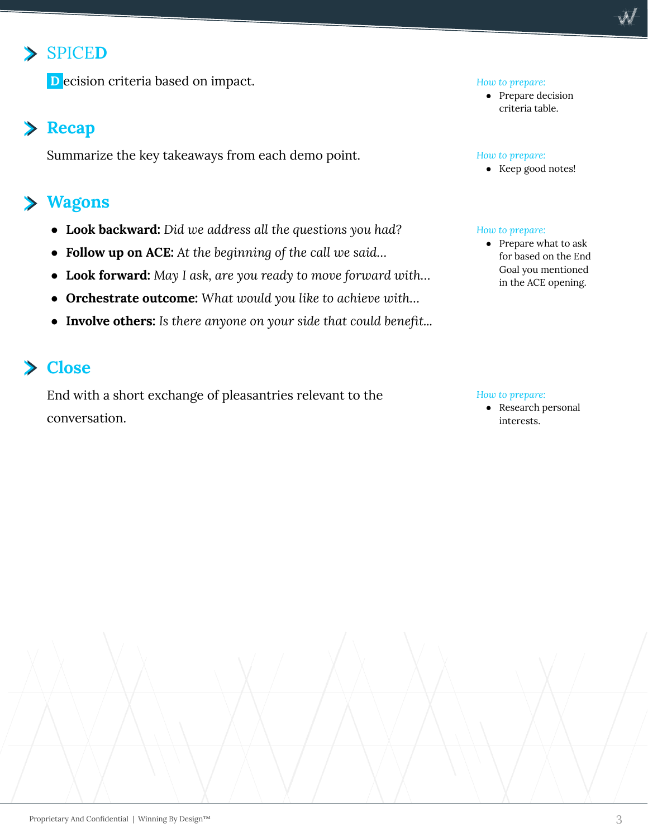## SPICE**D**

**D** ecision criteria based on impact.

### **Recap**

Summarize the key takeaways from each demo point.

## **Wagons**

- **Look backward:** *Did we address all the questions you had?*
- **Follow up on ACE:** *At the beginning of the call we said…*
- **Look forward:** *May I ask, are you ready to move forward with…*
- **Orchestrate outcome:** *What would you like to achieve with…*
- **Involve others:** *Is there anyone on your side that could benefit...*

### **Close**

End with a short exchange of pleasantries relevant to the conversation.

#### *How to prepare:*

● Prepare decision criteria table.

#### *How to prepare:*

● Keep good notes!

#### *How to prepare:*

● Prepare what to ask for based on the End Goal you mentioned in the ACE opening.

#### *How to prepare:*

● Research personal interests.